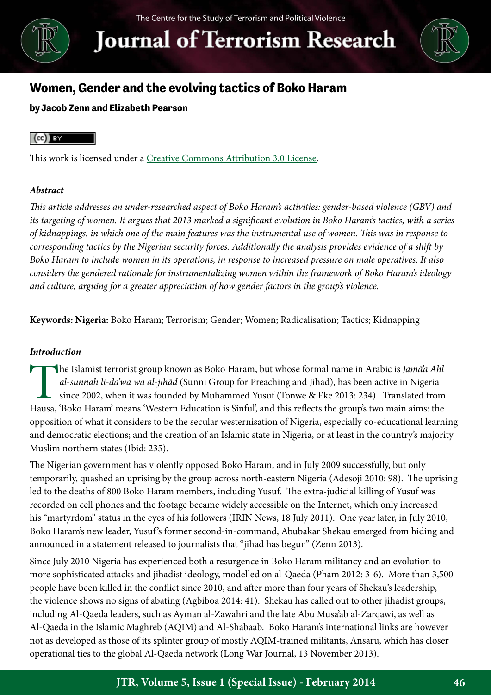

**Journal of Terrorism Research** 



### **Women, Gender and the evolving tactics of Boko Haram**

#### **by Jacob Zenn and Elizabeth Pearson**

#### $(cc)$  av

This work is licensed under a [Creative Commons Attribution 3.0 License.](http://creativecommons.org/licenses/by/3.0/)

#### *Abstract*

*This article addresses an under-researched aspect of Boko Haram's activities: gender-based violence (GBV) and its targeting of women. It argues that 2013 marked a significant evolution in Boko Haram's tactics, with a series of kidnappings, in which one of the main features was the instrumental use of women. This was in response to corresponding tactics by the Nigerian security forces. Additionally the analysis provides evidence of a shift by Boko Haram to include women in its operations, in response to increased pressure on male operatives. It also considers the gendered rationale for instrumentalizing women within the framework of Boko Haram's ideology and culture, arguing for a greater appreciation of how gender factors in the group's violence.*

**Keywords: Nigeria:** Boko Haram; Terrorism; Gender; Women; Radicalisation; Tactics; Kidnapping

### *Introduction*

The Islamist terrorist group known as Boko Haram, but whose formal name in Arabic is *Jamā'a Ahl al-sunnah li-da'wa wa al-jihād* (Sunni Group for Preaching and Jihad), has been active in Nigeria since 2002, when it was fou *al-sunnah li-da'wa wa al-jihād* (Sunni Group for Preaching and Jihad), has been active in Nigeria since 2002, when it was founded by Muhammed Yusuf (Tonwe & Eke 2013: 234). Translated from Hausa, 'Boko Haram' means 'Western Education is Sinful', and this reflects the group's two main aims: the opposition of what it considers to be the secular westernisation of Nigeria, especially co-educational learning and democratic elections; and the creation of an Islamic state in Nigeria, or at least in the country's majority Muslim northern states (Ibid: 235).

The Nigerian government has violently opposed Boko Haram, and in July 2009 successfully, but only temporarily, quashed an uprising by the group across north-eastern Nigeria (Adesoji 2010: 98). The uprising led to the deaths of 800 Boko Haram members, including Yusuf. The extra-judicial killing of Yusuf was recorded on cell phones and the footage became widely accessible on the Internet, which only increased his "martyrdom" status in the eyes of his followers (IRIN News, 18 July 2011). One year later, in July 2010, Boko Haram's new leader, Yusuf's former second-in-command, Abubakar Shekau emerged from hiding and announced in a statement released to journalists that "jihad has begun" (Zenn 2013).

Since July 2010 Nigeria has experienced both a resurgence in Boko Haram militancy and an evolution to more sophisticated attacks and jihadist ideology, modelled on al-Qaeda (Pham 2012: 3-6). More than 3,500 people have been killed in the conflict since 2010, and after more than four years of Shekau's leadership, the violence shows no signs of abating (Agbiboa 2014: 41). Shekau has called out to other jihadist groups, including Al-Qaeda leaders, such as Ayman al-Zawahri and the late Abu Musa'ab al-Zarqawi, as well as Al-Qaeda in the Islamic Maghreb (AQIM) and Al-Shabaab. Boko Haram's international links are however not as developed as those of its splinter group of mostly AQIM-trained militants, Ansaru, which has closer operational ties to the global Al-Qaeda network (Long War Journal, 13 November 2013).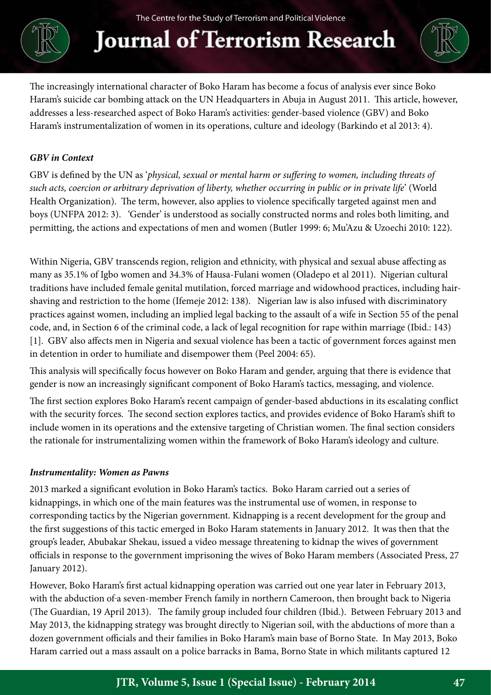

### **Journal of Terrorism Research**



The increasingly international character of Boko Haram has become a focus of analysis ever since Boko Haram's suicide car bombing attack on the UN Headquarters in Abuja in August 2011. This article, however, addresses a less-researched aspect of Boko Haram's activities: gender-based violence (GBV) and Boko Haram's instrumentalization of women in its operations, culture and ideology (Barkindo et al 2013: 4).

### *GBV in Context*

GBV is defined by the UN as '*physical, sexual or mental harm or suffering to women, including threats of such acts, coercion or arbitrary deprivation of liberty, whether occurring in public or in private life*' (World Health Organization). The term, however, also applies to violence specifically targeted against men and boys (UNFPA 2012: 3). 'Gender' is understood as socially constructed norms and roles both limiting, and permitting, the actions and expectations of men and women (Butler 1999: 6; Mu'Azu & Uzoechi 2010: 122).

Within Nigeria, GBV transcends region, religion and ethnicity, with physical and sexual abuse affecting as many as 35.1% of Igbo women and 34.3% of Hausa-Fulani women (Oladepo et al 2011). Nigerian cultural traditions have included female genital mutilation, forced marriage and widowhood practices, including hairshaving and restriction to the home (Ifemeje 2012: 138). Nigerian law is also infused with discriminatory practices against women, including an implied legal backing to the assault of a wife in Section 55 of the penal code, and, in Section 6 of the criminal code, a lack of legal recognition for rape within marriage (Ibid.: 143) [1]. GBV also affects men in Nigeria and sexual violence has been a tactic of government forces against men in detention in order to humiliate and disempower them (Peel 2004: 65).

This analysis will specifically focus however on Boko Haram and gender, arguing that there is evidence that gender is now an increasingly significant component of Boko Haram's tactics, messaging, and violence.

The first section explores Boko Haram's recent campaign of gender-based abductions in its escalating conflict with the security forces. The second section explores tactics, and provides evidence of Boko Haram's shift to include women in its operations and the extensive targeting of Christian women. The final section considers the rationale for instrumentalizing women within the framework of Boko Haram's ideology and culture.

### *Instrumentality: Women as Pawns*

2013 marked a significant evolution in Boko Haram's tactics. Boko Haram carried out a series of kidnappings, in which one of the main features was the instrumental use of women, in response to corresponding tactics by the Nigerian government. Kidnapping is a recent development for the group and the first suggestions of this tactic emerged in Boko Haram statements in January 2012. It was then that the group's leader, Abubakar Shekau, issued a video message threatening to kidnap the wives of government officials in response to the government imprisoning the wives of Boko Haram members (Associated Press, 27 January 2012).

However, Boko Haram's first actual kidnapping operation was carried out one year later in February 2013, with the abduction of a seven-member French family in northern Cameroon, then brought back to Nigeria (The Guardian, 19 April 2013). The family group included four children (Ibid.). Between February 2013 and May 2013, the kidnapping strategy was brought directly to Nigerian soil, with the abductions of more than a dozen government officials and their families in Boko Haram's main base of Borno State. In May 2013, Boko Haram carried out a mass assault on a police barracks in Bama, Borno State in which militants captured 12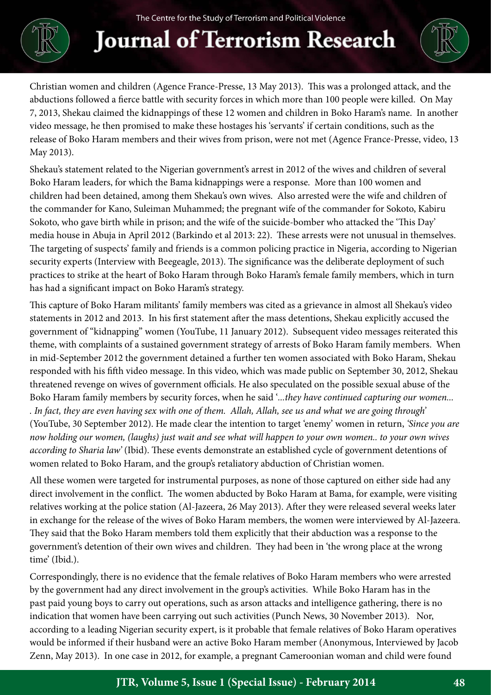

### **Journal of Terrorism Research**

Christian women and children (Agence France-Presse, 13 May 2013). This was a prolonged attack, and the abductions followed a fierce battle with security forces in which more than 100 people were killed. On May 7, 2013, Shekau claimed the kidnappings of these 12 women and children in Boko Haram's name. In another video message, he then promised to make these hostages his 'servants' if certain conditions, such as the release of Boko Haram members and their wives from prison, were not met (Agence France-Presse, video, 13 May 2013).

Shekau's statement related to the Nigerian government's arrest in 2012 of the wives and children of several Boko Haram leaders, for which the Bama kidnappings were a response. More than 100 women and children had been detained, among them Shekau's own wives. Also arrested were the wife and children of the commander for Kano, Suleiman Muhammed; the pregnant wife of the commander for Sokoto, Kabiru Sokoto, who gave birth while in prison; and the wife of the suicide-bomber who attacked the 'This Day' media house in Abuja in April 2012 (Barkindo et al 2013: 22). These arrests were not unusual in themselves. The targeting of suspects' family and friends is a common policing practice in Nigeria, according to Nigerian security experts (Interview with Beegeagle, 2013). The significance was the deliberate deployment of such practices to strike at the heart of Boko Haram through Boko Haram's female family members, which in turn has had a significant impact on Boko Haram's strategy.

This capture of Boko Haram militants' family members was cited as a grievance in almost all Shekau's video statements in 2012 and 2013. In his first statement after the mass detentions, Shekau explicitly accused the government of "kidnapping" women (YouTube, 11 January 2012). Subsequent video messages reiterated this theme, with complaints of a sustained government strategy of arrests of Boko Haram family members. When in mid-September 2012 the government detained a further ten women associated with Boko Haram, Shekau responded with his fifth video message. In this video, which was made public on September 30, 2012, Shekau threatened revenge on wives of government officials. He also speculated on the possible sexual abuse of the Boko Haram family members by security forces, when he said '*...they have continued capturing our women... . In fact, they are even having sex with one of them. Allah, Allah, see us and what we are going through'* (YouTube, 30 September 2012). He made clear the intention to target 'enemy' women in return, *'Since you are now holding our women, (laughs) just wait and see what will happen to your own women.. to your own wives according to Sharia law'* (Ibid). These events demonstrate an established cycle of government detentions of women related to Boko Haram, and the group's retaliatory abduction of Christian women.

All these women were targeted for instrumental purposes, as none of those captured on either side had any direct involvement in the conflict. The women abducted by Boko Haram at Bama, for example, were visiting relatives working at the police station (Al-Jazeera, 26 May 2013). After they were released several weeks later in exchange for the release of the wives of Boko Haram members, the women were interviewed by Al-Jazeera. They said that the Boko Haram members told them explicitly that their abduction was a response to the government's detention of their own wives and children. They had been in 'the wrong place at the wrong time' (Ibid.).

Correspondingly, there is no evidence that the female relatives of Boko Haram members who were arrested by the government had any direct involvement in the group's activities. While Boko Haram has in the past paid young boys to carry out operations, such as arson attacks and intelligence gathering, there is no indication that women have been carrying out such activities (Punch News, 30 November 2013). Nor, according to a leading Nigerian security expert, is it probable that female relatives of Boko Haram operatives would be informed if their husband were an active Boko Haram member (Anonymous, Interviewed by Jacob Zenn, May 2013). In one case in 2012, for example, a pregnant Cameroonian woman and child were found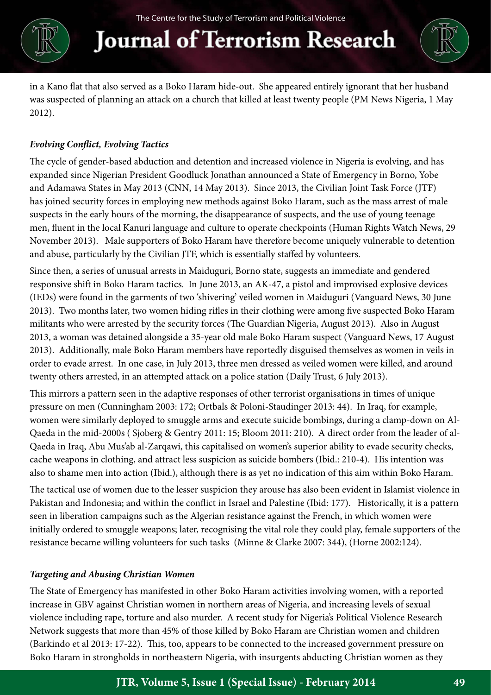# **Journal of Terrorism Research**



in a Kano flat that also served as a Boko Haram hide-out. She appeared entirely ignorant that her husband was suspected of planning an attack on a church that killed at least twenty people (PM News Nigeria, 1 May 2012).

### *Evolving Conflict, Evolving Tactics*

The cycle of gender-based abduction and detention and increased violence in Nigeria is evolving, and has expanded since Nigerian President Goodluck Jonathan announced a State of Emergency in Borno, Yobe and Adamawa States in May 2013 (CNN, 14 May 2013). Since 2013, the Civilian Joint Task Force (JTF) has joined security forces in employing new methods against Boko Haram, such as the mass arrest of male suspects in the early hours of the morning, the disappearance of suspects, and the use of young teenage men, fluent in the local Kanuri language and culture to operate checkpoints (Human Rights Watch News, 29 November 2013). Male supporters of Boko Haram have therefore become uniquely vulnerable to detention and abuse, particularly by the Civilian JTF, which is essentially staffed by volunteers.

Since then, a series of unusual arrests in Maiduguri, Borno state, suggests an immediate and gendered responsive shift in Boko Haram tactics. In June 2013, an AK-47, a pistol and improvised explosive devices (IEDs) were found in the garments of two 'shivering' veiled women in Maiduguri (Vanguard News, 30 June 2013). Two months later, two women hiding rifles in their clothing were among five suspected Boko Haram militants who were arrested by the security forces (The Guardian Nigeria, August 2013). Also in August 2013, a woman was detained alongside a 35-year old male Boko Haram suspect (Vanguard News, 17 August 2013). Additionally, male Boko Haram members have reportedly disguised themselves as women in veils in order to evade arrest. In one case, in July 2013, three men dressed as veiled women were killed, and around twenty others arrested, in an attempted attack on a police station (Daily Trust, 6 July 2013).

This mirrors a pattern seen in the adaptive responses of other terrorist organisations in times of unique pressure on men (Cunningham 2003: 172; Ortbals & Poloni-Staudinger 2013: 44). In Iraq, for example, women were similarly deployed to smuggle arms and execute suicide bombings, during a clamp-down on Al-Qaeda in the mid-2000s ( Sjoberg & Gentry 2011: 15; Bloom 2011: 210). A direct order from the leader of al-Qaeda in Iraq, Abu Mus'ab al-Zarqawi, this capitalised on women's superior ability to evade security checks, cache weapons in clothing, and attract less suspicion as suicide bombers (Ibid.: 210-4). His intention was also to shame men into action (Ibid.), although there is as yet no indication of this aim within Boko Haram.

The tactical use of women due to the lesser suspicion they arouse has also been evident in Islamist violence in Pakistan and Indonesia; and within the conflict in Israel and Palestine (Ibid: 177). Historically, it is a pattern seen in liberation campaigns such as the Algerian resistance against the French, in which women were initially ordered to smuggle weapons; later, recognising the vital role they could play, female supporters of the resistance became willing volunteers for such tasks (Minne & Clarke 2007: 344), (Horne 2002:124).

### *Targeting and Abusing Christian Women*

The State of Emergency has manifested in other Boko Haram activities involving women, with a reported increase in GBV against Christian women in northern areas of Nigeria, and increasing levels of sexual violence including rape, torture and also murder. A recent study for Nigeria's Political Violence Research Network suggests that more than 45% of those killed by Boko Haram are Christian women and children (Barkindo et al 2013: 17-22). This, too, appears to be connected to the increased government pressure on Boko Haram in strongholds in northeastern Nigeria, with insurgents abducting Christian women as they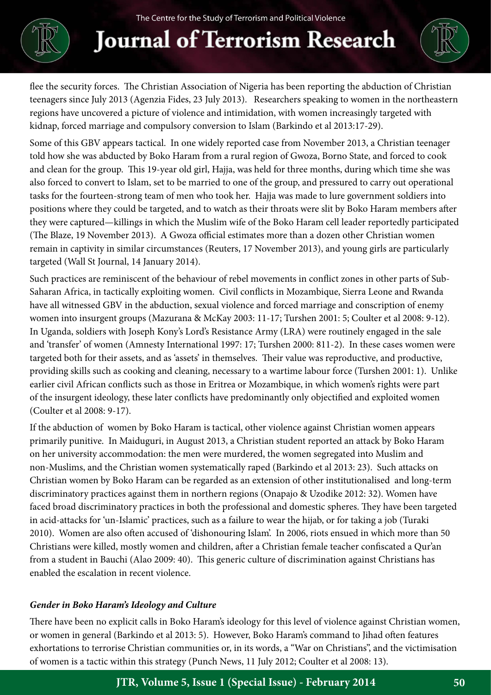

### **Journal of Terrorism Research**



flee the security forces. The Christian Association of Nigeria has been reporting the abduction of Christian teenagers since July 2013 (Agenzia Fides, 23 July 2013). Researchers speaking to women in the northeastern regions have uncovered a picture of violence and intimidation, with women increasingly targeted with kidnap, forced marriage and compulsory conversion to Islam (Barkindo et al 2013:17-29).

Some of this GBV appears tactical. In one widely reported case from November 2013, a Christian teenager told how she was abducted by Boko Haram from a rural region of Gwoza, Borno State, and forced to cook and clean for the group. This 19-year old girl, Hajja, was held for three months, during which time she was also forced to convert to Islam, set to be married to one of the group, and pressured to carry out operational tasks for the fourteen-strong team of men who took her. Hajja was made to lure government soldiers into positions where they could be targeted, and to watch as their throats were slit by Boko Haram members after they were captured—killings in which the Muslim wife of the Boko Haram cell leader reportedly participated (The Blaze, 19 November 2013). A Gwoza official estimates more than a dozen other Christian women remain in captivity in similar circumstances (Reuters, 17 November 2013), and young girls are particularly targeted (Wall St Journal, 14 January 2014).

Such practices are reminiscent of the behaviour of rebel movements in conflict zones in other parts of Sub-Saharan Africa, in tactically exploiting women. Civil conflicts in Mozambique, Sierra Leone and Rwanda have all witnessed GBV in the abduction, sexual violence and forced marriage and conscription of enemy women into insurgent groups (Mazurana & McKay 2003: 11-17; Turshen 2001: 5; Coulter et al 2008: 9-12). In Uganda, soldiers with Joseph Kony's Lord's Resistance Army (LRA) were routinely engaged in the sale and 'transfer' of women (Amnesty International 1997: 17; Turshen 2000: 811-2). In these cases women were targeted both for their assets, and as 'assets' in themselves. Their value was reproductive, and productive, providing skills such as cooking and cleaning, necessary to a wartime labour force (Turshen 2001: 1). Unlike earlier civil African conflicts such as those in Eritrea or Mozambique, in which women's rights were part of the insurgent ideology, these later conflicts have predominantly only objectified and exploited women (Coulter et al 2008: 9-17).

If the abduction of women by Boko Haram is tactical, other violence against Christian women appears primarily punitive. In Maiduguri, in August 2013, a Christian student reported an attack by Boko Haram on her university accommodation: the men were murdered, the women segregated into Muslim and non-Muslims, and the Christian women systematically raped (Barkindo et al 2013: 23). Such attacks on Christian women by Boko Haram can be regarded as an extension of other institutionalised and long-term discriminatory practices against them in northern regions (Onapajo & Uzodike 2012: 32). Women have faced broad discriminatory practices in both the professional and domestic spheres. They have been targeted in acid-attacks for 'un-Islamic' practices, such as a failure to wear the hijab, or for taking a job (Turaki 2010). Women are also often accused of 'dishonouring Islam'. In 2006, riots ensued in which more than 50 Christians were killed, mostly women and children, after a Christian female teacher confiscated a Qur'an from a student in Bauchi (Alao 2009: 40). This generic culture of discrimination against Christians has enabled the escalation in recent violence.

### *Gender in Boko Haram's Ideology and Culture*

There have been no explicit calls in Boko Haram's ideology for this level of violence against Christian women, or women in general (Barkindo et al 2013: 5). However, Boko Haram's command to Jihad often features exhortations to terrorise Christian communities or, in its words, a "War on Christians", and the victimisation of women is a tactic within this strategy (Punch News, 11 July 2012; Coulter et al 2008: 13).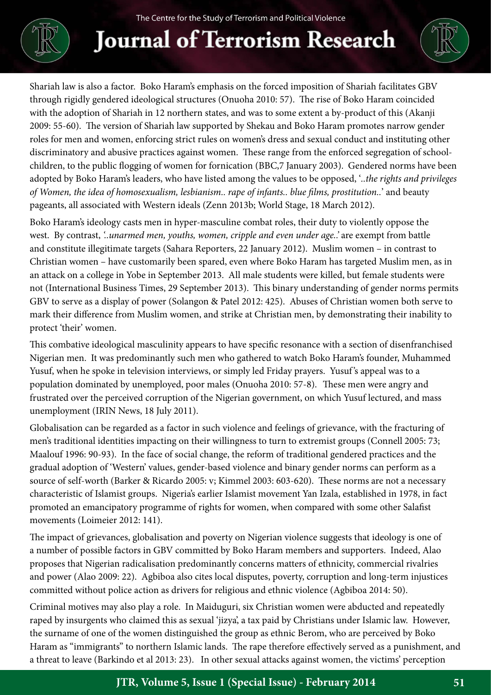

### **Journal of Terrorism Research**

Shariah law is also a factor. Boko Haram's emphasis on the forced imposition of Shariah facilitates GBV through rigidly gendered ideological structures (Onuoha 2010: 57). The rise of Boko Haram coincided with the adoption of Shariah in 12 northern states, and was to some extent a by-product of this (Akanji 2009: 55-60). The version of Shariah law supported by Shekau and Boko Haram promotes narrow gender roles for men and women, enforcing strict rules on women's dress and sexual conduct and instituting other discriminatory and abusive practices against women. These range from the enforced segregation of schoolchildren, to the public flogging of women for fornication (BBC,7 January 2003). Gendered norms have been adopted by Boko Haram's leaders, who have listed among the values to be opposed, '*..the rights and privileges of Women, the idea of homosexualism, lesbianism.. rape of infants.. blue films, prostitution..*' and beauty pageants, all associated with Western ideals (Zenn 2013b; World Stage, 18 March 2012).

Boko Haram's ideology casts men in hyper-masculine combat roles, their duty to violently oppose the west. By contrast, *'..unarmed men, youths, women, cripple and even under age..'* are exempt from battle and constitute illegitimate targets (Sahara Reporters, 22 January 2012). Muslim women – in contrast to Christian women – have customarily been spared, even where Boko Haram has targeted Muslim men, as in an attack on a college in Yobe in September 2013. All male students were killed, but female students were not (International Business Times, 29 September 2013). This binary understanding of gender norms permits GBV to serve as a display of power (Solangon & Patel 2012: 425). Abuses of Christian women both serve to mark their difference from Muslim women, and strike at Christian men, by demonstrating their inability to protect 'their' women.

This combative ideological masculinity appears to have specific resonance with a section of disenfranchised Nigerian men. It was predominantly such men who gathered to watch Boko Haram's founder, Muhammed Yusuf, when he spoke in television interviews, or simply led Friday prayers. Yusuf 's appeal was to a population dominated by unemployed, poor males (Onuoha 2010: 57-8). These men were angry and frustrated over the perceived corruption of the Nigerian government, on which Yusuf lectured, and mass unemployment (IRIN News, 18 July 2011).

Globalisation can be regarded as a factor in such violence and feelings of grievance, with the fracturing of men's traditional identities impacting on their willingness to turn to extremist groups (Connell 2005: 73; Maalouf 1996: 90-93). In the face of social change, the reform of traditional gendered practices and the gradual adoption of 'Western' values, gender-based violence and binary gender norms can perform as a source of self-worth (Barker & Ricardo 2005: v; Kimmel 2003: 603-620). These norms are not a necessary characteristic of Islamist groups. Nigeria's earlier Islamist movement Yan Izala, established in 1978, in fact promoted an emancipatory programme of rights for women, when compared with some other Salafist movements (Loimeier 2012: 141).

The impact of grievances, globalisation and poverty on Nigerian violence suggests that ideology is one of a number of possible factors in GBV committed by Boko Haram members and supporters. Indeed, Alao proposes that Nigerian radicalisation predominantly concerns matters of ethnicity, commercial rivalries and power (Alao 2009: 22). Agbiboa also cites local disputes, poverty, corruption and long-term injustices committed without police action as drivers for religious and ethnic violence (Agbiboa 2014: 50).

Criminal motives may also play a role. In Maiduguri, six Christian women were abducted and repeatedly raped by insurgents who claimed this as sexual 'jizya', a tax paid by Christians under Islamic law. However, the surname of one of the women distinguished the group as ethnic Berom, who are perceived by Boko Haram as "immigrants" to northern Islamic lands. The rape therefore effectively served as a punishment, and a threat to leave (Barkindo et al 2013: 23). In other sexual attacks against women, the victims' perception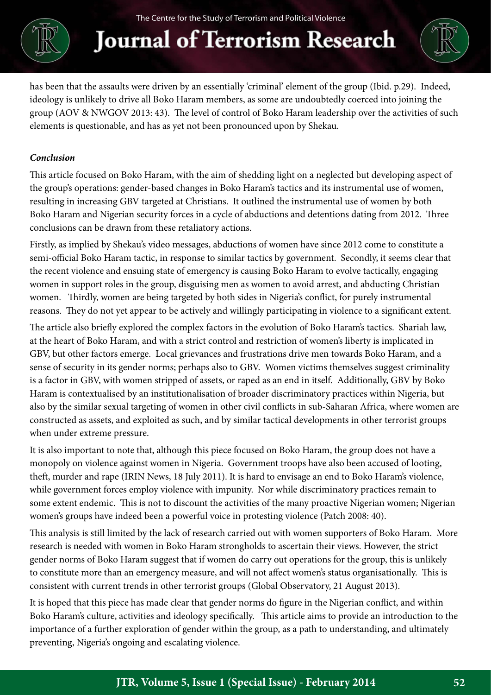

**Journal of Terrorism Research** 



has been that the assaults were driven by an essentially 'criminal' element of the group (Ibid. p.29). Indeed, ideology is unlikely to drive all Boko Haram members, as some are undoubtedly coerced into joining the group (AOV & NWGOV 2013: 43). The level of control of Boko Haram leadership over the activities of such elements is questionable, and has as yet not been pronounced upon by Shekau.

### *Conclusion*

This article focused on Boko Haram, with the aim of shedding light on a neglected but developing aspect of the group's operations: gender-based changes in Boko Haram's tactics and its instrumental use of women, resulting in increasing GBV targeted at Christians. It outlined the instrumental use of women by both Boko Haram and Nigerian security forces in a cycle of abductions and detentions dating from 2012. Three conclusions can be drawn from these retaliatory actions.

Firstly, as implied by Shekau's video messages, abductions of women have since 2012 come to constitute a semi-official Boko Haram tactic, in response to similar tactics by government. Secondly, it seems clear that the recent violence and ensuing state of emergency is causing Boko Haram to evolve tactically, engaging women in support roles in the group, disguising men as women to avoid arrest, and abducting Christian women. Thirdly, women are being targeted by both sides in Nigeria's conflict, for purely instrumental reasons. They do not yet appear to be actively and willingly participating in violence to a significant extent.

The article also briefly explored the complex factors in the evolution of Boko Haram's tactics. Shariah law, at the heart of Boko Haram, and with a strict control and restriction of women's liberty is implicated in GBV, but other factors emerge. Local grievances and frustrations drive men towards Boko Haram, and a sense of security in its gender norms; perhaps also to GBV. Women victims themselves suggest criminality is a factor in GBV, with women stripped of assets, or raped as an end in itself. Additionally, GBV by Boko Haram is contextualised by an institutionalisation of broader discriminatory practices within Nigeria, but also by the similar sexual targeting of women in other civil conflicts in sub-Saharan Africa, where women are constructed as assets, and exploited as such, and by similar tactical developments in other terrorist groups when under extreme pressure.

It is also important to note that, although this piece focused on Boko Haram, the group does not have a monopoly on violence against women in Nigeria. Government troops have also been accused of looting, theft, murder and rape (IRIN News, 18 July 2011). It is hard to envisage an end to Boko Haram's violence, while government forces employ violence with impunity. Nor while discriminatory practices remain to some extent endemic. This is not to discount the activities of the many proactive Nigerian women; Nigerian women's groups have indeed been a powerful voice in protesting violence (Patch 2008: 40).

This analysis is still limited by the lack of research carried out with women supporters of Boko Haram. More research is needed with women in Boko Haram strongholds to ascertain their views. However, the strict gender norms of Boko Haram suggest that if women do carry out operations for the group, this is unlikely to constitute more than an emergency measure, and will not affect women's status organisationally. This is consistent with current trends in other terrorist groups (Global Observatory, 21 August 2013).

It is hoped that this piece has made clear that gender norms do figure in the Nigerian conflict, and within Boko Haram's culture, activities and ideology specifically. This article aims to provide an introduction to the importance of a further exploration of gender within the group, as a path to understanding, and ultimately preventing, Nigeria's ongoing and escalating violence.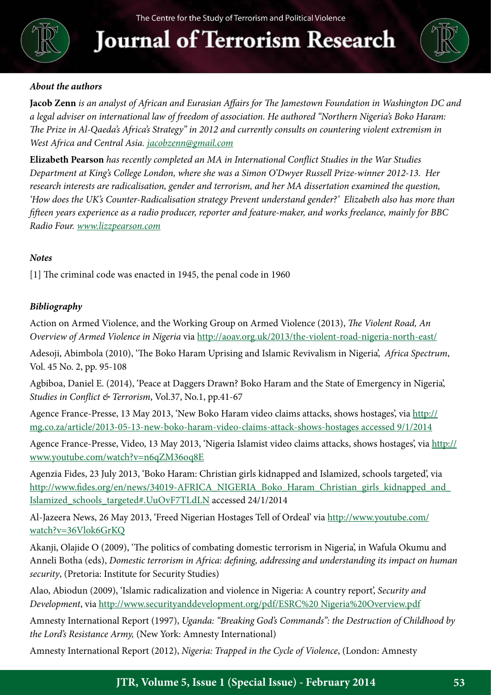

# **Journal of Terrorism Research**



#### *About the authors*

**Jacob Zenn** *is an analyst of African and Eurasian Affairs for The Jamestown Foundation in Washington DC and a legal adviser on international law of freedom of association. He authored "Northern Nigeria's Boko Haram: The Prize in Al-Qaeda's Africa's Strategy" in 2012 and currently consults on countering violent extremism in West Africa and Central Asia. [jacobzenn@gmail.com](mailto:jacobzenn@gmail.com)*

**Elizabeth Pearson** *has recently completed an MA in International Conflict Studies in the War Studies Department at King's College London, where she was a Simon O'Dwyer Russell Prize-winner 2012-13. Her research interests are radicalisation, gender and terrorism, and her MA dissertation examined the question, 'How does the UK's Counter-Radicalisation strategy Prevent understand gender?' Elizabeth also has more than fifteen years experience as a radio producer, reporter and feature-maker, and works freelance, mainly for BBC Radio Four. [www.lizzpearson.com](http://www.lizzpearson.com )*

#### *Notes*

[1] The criminal code was enacted in 1945, the penal code in 1960

### *Bibliography*

Action on Armed Violence, and the Working Group on Armed Violence (2013), *The Violent Road, An Overview of Armed Violence in Nigeria* via<http://aoav.org.uk/2013/the-violent-road-nigeria-north-east/>

Adesoji, Abimbola (2010), 'The Boko Haram Uprising and Islamic Revivalism in Nigeria', *Africa Spectrum*, Vol. 45 No. 2, pp. 95-108

Agbiboa, Daniel E. (2014), 'Peace at Daggers Drawn? Boko Haram and the State of Emergency in Nigeria', *Studies in Conflict & Terrorism*, Vol.37, No.1, pp.41-67

Agence France-Presse, 13 May 2013, 'New Boko Haram video claims attacks, shows hostages', via [http://](http://mg.co.za/article/2013-05-13-new-boko-haram-video-claims-attack-shows-hostages) [mg.co.za/article/2013-05-13-new-boko-haram-video-claims-attack-shows-hostages](http://mg.co.za/article/2013-05-13-new-boko-haram-video-claims-attack-shows-hostages) accessed 9/1/2014

Agence France-Presse, Video, 13 May 2013, 'Nigeria Islamist video claims attacks, shows hostages', via [http://](http://www.youtube.com/watch?v=n6qZM36oq8E) [www.youtube.com/watch?v=n6qZM36oq8E](http://www.youtube.com/watch?v=n6qZM36oq8E)

Agenzia Fides, 23 July 2013, 'Boko Haram: Christian girls kidnapped and Islamized, schools targeted', via http://www.fides.org/en/news/34019-AFRICA\_NIGERIA\_Boko\_Haram\_Christian\_girls\_kidnapped\_and [Islamized\\_schools\\_targeted#.UuOvF7TLdLN](http://www.fides.org/en/news/34019-AFRICA_NIGERIA_Boko_Haram_Christian_girls_kidnapped_and_Islamized_schools_targeted#.UuOvF7TLdLN) accessed 24/1/2014

Al-Jazeera News, 26 May 2013, 'Freed Nigerian Hostages Tell of Ordeal' via [http://www.youtube.com/](http://www.youtube.com/watch?v=36Vlok6GrKQ ) [watch?v=36Vlok6GrKQ](http://www.youtube.com/watch?v=36Vlok6GrKQ )

Akanji, Olajide O (2009), 'The politics of combating domestic terrorism in Nigeria', in Wafula Okumu and Anneli Botha (eds), *Domestic terrorism in Africa: defining, addressing and understanding its impact on human security*, (Pretoria: Institute for Security Studies)

Alao, Abiodun (2009), 'Islamic radicalization and violence in Nigeria: A country report', *Security and Development*, via <http://www.securityanddevelopment.org/pdf/ESRC%20 Nigeria%20Overview.pdf>

Amnesty International Report (1997), *Uganda: "Breaking God's Commands": the Destruction of Childhood by the Lord's Resistance Army,* (New York: Amnesty International)

Amnesty International Report (2012), *Nigeria: Trapped in the Cycle of Violence*, (London: Amnesty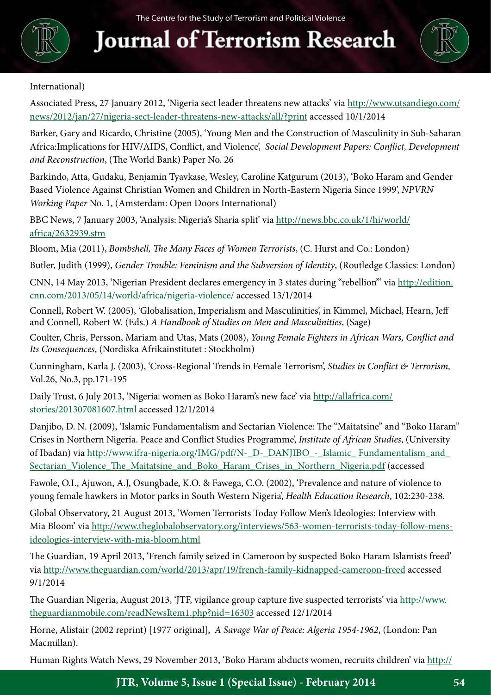

# **Journal of Terrorism Research**



#### International)

Associated Press, 27 January 2012, 'Nigeria sect leader threatens new attacks' via [http://www.utsandiego.com/](http://www.utsandiego.com/news/2012/jan/27/nigeria-sect-leader-threatens-new-attacks/all/?print) [news/2012/jan/27/nigeria-sect-leader-threatens-new-attacks/all/?print](http://www.utsandiego.com/news/2012/jan/27/nigeria-sect-leader-threatens-new-attacks/all/?print) accessed 10/1/2014

Barker, Gary and Ricardo, Christine (2005), 'Young Men and the Construction of Masculinity in Sub-Saharan Africa:Implications for HIV/AIDS, Conflict, and Violence', *Social Development Papers: Conflict, Development and Reconstruction*, (The World Bank) Paper No. 26

Barkindo, Atta, Gudaku, Benjamin Tyavkase, Wesley, Caroline Katgurum (2013), 'Boko Haram and Gender Based Violence Against Christian Women and Children in North-Eastern Nigeria Since 1999', *NPVRN Working Paper* No. 1, (Amsterdam: Open Doors International)

BBC News, 7 January 2003, 'Analysis: Nigeria's Sharia split' via [http://news.bbc.co.uk/1/hi/world/](http://news.bbc.co.uk/1/hi/world/africa/2632939.stm) [africa/2632939.stm](http://news.bbc.co.uk/1/hi/world/africa/2632939.stm)

Bloom, Mia (2011), *Bombshell, The Many Faces of Women Terrorists*, (C. Hurst and Co.: London)

Butler, Judith (1999), *Gender Trouble: Feminism and the Subversion of Identity*, (Routledge Classics: London)

CNN, 14 May 2013, 'Nigerian President declares emergency in 3 states during "rebellion"' via [http://edition.](http://edition.cnn.com/2013/05/14/world/africa/nigeria-violence/) [cnn.com/2013/05/14/world/africa/nigeria-violence/](http://edition.cnn.com/2013/05/14/world/africa/nigeria-violence/) accessed 13/1/2014

Connell, Robert W. (2005), 'Globalisation, Imperialism and Masculinities', in Kimmel, Michael, Hearn, Jeff and Connell, Robert W. (Eds.) *A Handbook of Studies on Men and Masculinities*, (Sage)

Coulter, Chris, Persson, Mariam and Utas, Mats (2008), *Young Female Fighters in African Wars, Conflict and Its Consequences*, (Nordiska Afrikainstitutet : Stockholm)

Cunningham, Karla J. (2003), 'Cross-Regional Trends in Female Terrorism', *Studies in Conflict & Terrorism,* Vol.26, No.3, pp.171-195

Daily Trust, 6 July 2013, 'Nigeria: women as Boko Haram's new face' via [http://allafrica.com/](http://allafrica.com/stories/201307081607.html) [stories/201307081607.html](http://allafrica.com/stories/201307081607.html) accessed 12/1/2014

Danjibo, D. N. (2009), 'Islamic Fundamentalism and Sectarian Violence: The "Maitatsine" and "Boko Haram" Crises in Northern Nigeria. Peace and Conflict Studies Programme', *Institute of African Studies*, (University of Ibadan) via http://www.ifra-nigeria.org/IMG/pdf/N- D- DANJIBO - Islamic Fundamentalism and [Sectarian\\_Violence\\_The\\_Maitatsine\\_and\\_Boko\\_Haram\\_Crises\\_in\\_Northern\\_Nigeria.pdf](http://www.ifra-nigeria.org/IMG/pdf/N-_D-_DANJIBO_-_Islamic_ Fundamentalism_and_Sectarian_Violence_The_Maitatsine_and_Boko_Haram_Crises_in_Northern_Nigeria.pdf) (accessed

Fawole, O.I., Ajuwon, A.J, Osungbade, K.O. & Fawega, C.O. (2002), 'Prevalence and nature of violence to young female hawkers in Motor parks in South Western Nigeria', *Health Education Research*, 102:230-238.

Global Observatory, 21 August 2013, 'Women Terrorists Today Follow Men's Ideologies: Interview with Mia Bloom' via [http://www.theglobalobservatory.org/interviews/563-women-terrorists-today-follow-mens](http://www.theglobalobservatory.org/interviews/563-women-terrorists-today-follow-mens-ideologies-interview-with-mia-bloom.html)[ideologies-interview-with-mia-bloom.html](http://www.theglobalobservatory.org/interviews/563-women-terrorists-today-follow-mens-ideologies-interview-with-mia-bloom.html)

The Guardian, 19 April 2013, 'French family seized in Cameroon by suspected Boko Haram Islamists freed' via <http://www.theguardian.com/world/2013/apr/19/french-family-kidnapped-cameroon-freed>accessed 9/1/2014

The Guardian Nigeria, August 2013, 'JTF, vigilance group capture five suspected terrorists' via [http://www.](http://www.theguardianmobile.com/readNewsItem1.php?nid=16303) [theguardianmobile.com/readNewsItem1.php?nid=16303](http://www.theguardianmobile.com/readNewsItem1.php?nid=16303) accessed 12/1/2014

Horne, Alistair (2002 reprint) [1977 original], *A Savage War of Peace: Algeria 1954-1962*, (London: Pan Macmillan).

Human Rights Watch News, 29 November 2013, 'Boko Haram abducts women, recruits children' via [http://](http://www.hrw.org/news/2013/11/29/nigeria-boko-haram-abducts-women-recruits-children)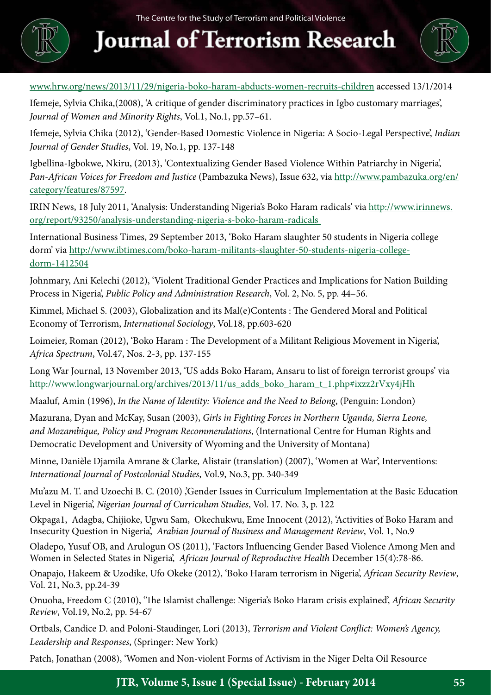

### **Journal of Terrorism Research**



#### [www.hrw.org/news/2013/11/29/nigeria-boko-haram-abducts-women-recruits-children](http://www.hrw.org/news/2013/11/29/nigeria-boko-haram-abducts-women-recruits-children) accessed 13/1/2014

Ifemeje, Sylvia Chika,(2008), 'A critique of gender discriminatory practices in Igbo customary marriages', *Journal of Women and Minority Rights*, Vol.1, No.1, pp.57–61.

Ifemeje, Sylvia Chika (2012), 'Gender-Based Domestic Violence in Nigeria: A Socio-Legal Perspective', *Indian Journal of Gender Studies*, Vol. 19, No.1, pp. 137-148

Igbellina-Igbokwe, Nkiru, (2013), 'Contextualizing Gender Based Violence Within Patriarchy in Nigeria', *Pan-African Voices for Freedom and Justice* (Pambazuka News), Issue 632, via [http://www.pambazuka.org/en/](http://www.pambazuka.org/en/category/features/87597) [category/features/87597.](http://www.pambazuka.org/en/category/features/87597)

IRIN News, 18 July 2011, 'Analysis: Understanding Nigeria's Boko Haram radicals' via [http://www.irinnews.](http://www.irinnews.org/report/93250/analysis-understanding-nigeria-s-boko-haram-radicals) [org/report/93250/analysis-understanding-nigeria-s-boko-haram-radicals](http://www.irinnews.org/report/93250/analysis-understanding-nigeria-s-boko-haram-radicals) 

International Business Times, 29 September 2013, 'Boko Haram slaughter 50 students in Nigeria college dorm' via http://www.ibtimes.com/boko-haram-militants-slaughter-50-students-nigeria-collegedorm-1412504

Johnmary, Ani Kelechi (2012), 'Violent Traditional Gender Practices and Implications for Nation Building Process in Nigeria', *Public Policy and Administration Research*, Vol. 2, No. 5, pp. 44–56.

Kimmel, Michael S. (2003), Globalization and its Mal(e)Contents : The Gendered Moral and Political Economy of Terrorism, *International Sociology*, Vol.18, pp.603-620

Loimeier, Roman (2012), 'Boko Haram : The Development of a Militant Religious Movement in Nigeria', *Africa Spectrum*, Vol.47, Nos. 2-3, pp. 137-155

Long War Journal, 13 November 2013, 'US adds Boko Haram, Ansaru to list of foreign terrorist groups' via [http://www.longwarjournal.org/archives/2013/11/us\\_adds\\_boko\\_haram\\_t\\_1.php#ixzz2rVxy4jHh](http://www.longwarjournal.org/archives/2013/11/us_adds_boko_haram_t_1.php#ixzz2rVxy4jHh)

Maaluf, Amin (1996), *In the Name of Identity: Violence and the Need to Belong*, (Penguin: London)

Mazurana, Dyan and McKay, Susan (2003), *Girls in Fighting Forces in Northern Uganda, Sierra Leone, and Mozambique, Policy and Program Recommendations*, (International Centre for Human Rights and Democratic Development and University of Wyoming and the University of Montana)

Minne, Danièle Djamila Amrane & Clarke, Alistair (translation) (2007), 'Women at War', Interventions: *International Journal of Postcolonial Studies*, Vol.9, No.3, pp. 340-349

Mu'azu M. T. and Uzoechi B. C. (2010) ,'Gender Issues in Curriculum Implementation at the Basic Education Level in Nigeria', *Nigerian Journal of Curriculum Studies*, Vol. 17. No. 3, p. 122

Okpaga1, Adagba, Chijioke, Ugwu Sam, Okechukwu, Eme Innocent (2012), 'Activities of Boko Haram and Insecurity Question in Nigeria', *Arabian Journal of Business and Management Review*, Vol. 1, No.9

Oladepo, Yusuf OB, and Arulogun OS (2011), 'Factors Influencing Gender Based Violence Among Men and Women in Selected States in Nigeria', *African Journal of Reproductive Health* December 15(4):78-86.

Onapajo, Hakeem & Uzodike, Ufo Okeke (2012), 'Boko Haram terrorism in Nigeria', *African Security Review*, Vol. 21, No.3, pp.24-39

Onuoha, Freedom C (2010), 'The Islamist challenge: Nigeria's Boko Haram crisis explained', *African Security Review*, Vol.19, No.2, pp. 54-67

Ortbals, Candice D. and Poloni-Staudinger, Lori (2013), *Terrorism and Violent Conflict: Women's Agency, Leadership and Responses*, (Springer: New York)

Patch, Jonathan (2008), 'Women and Non-violent Forms of Activism in the Niger Delta Oil Resource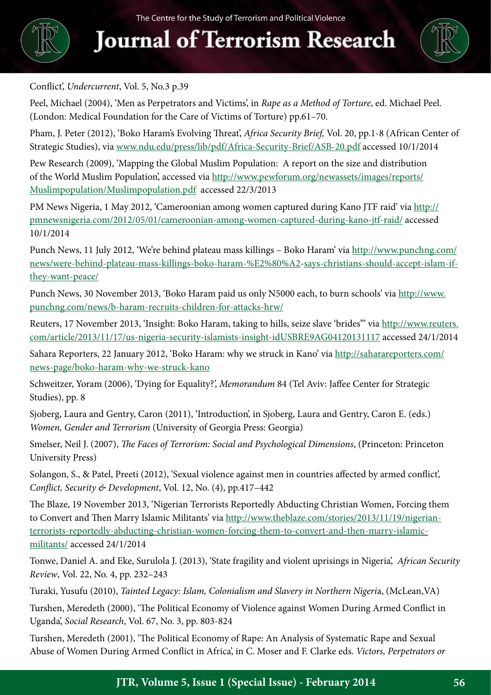

### **Journal of Terrorism Research**



### Conflict', *Undercurrent*, Vol. 5, No.3 p.39

Peel, Michael (2004), 'Men as Perpetrators and Victims', in *Rape as a Method of Torture*, ed. Michael Peel. (London: Medical Foundation for the Care of Victims of Torture) pp.61–70.

Pham, J. Peter (2012), 'Boko Haram's Evolving Threat', *Africa Security Brief,* Vol. 20, pp.1-8 (African Center of Strategic Studies), via [www.ndu.edu/press/lib/pdf/Africa-Security-Brief/ASB-20.pdf](http://www.ndu.edu/press/lib/pdf/Africa-Security-Brief/ASB-20.pdf) accessed 10/1/2014

Pew Research (2009), 'Mapping the Global Muslim Population: A report on the size and distribution of the World Muslim Population', accessed via [http://www.pewforum.org/newassets/images/reports/](http://www.pewforum.org/newassets/images/reports/Muslimpopulation/Muslimpopulation.pdf) [Muslimpopulation/Muslimpopulation.pdf](http://www.pewforum.org/newassets/images/reports/Muslimpopulation/Muslimpopulation.pdf) accessed 22/3/2013

PM News Nigeria, 1 May 2012, 'Cameroonian among women captured during Kano JTF raid' via [http://](http://pmnewsnigeria.com/2012/05/01/cameroonian-among-women-captured-during-kano-jtf-raid/) [pmnewsnigeria.com/2012/05/01/cameroonian-among-women-captured-during-kano-jtf-raid/](http://pmnewsnigeria.com/2012/05/01/cameroonian-among-women-captured-during-kano-jtf-raid/) accessed 10/1/2014

Punch News, 11 July 2012, 'We're behind plateau mass killings – Boko Haram' via [http://www.punchng.com/](http://www.punchng.com/news/were-behind-plateau-mass-killings-boko-haram-%E2%80%A2-says-christians-should-accept-islam-if-they-want-peace/
) [news/were-behind-plateau-mass-killings-boko-haram-%E2%80%A2](http://www.punchng.com/news/were-behind-plateau-mass-killings-boko-haram-%E2%80%A2-says-christians-should-accept-islam-if-they-want-peace/
)-says-christians-should-accept-islam-ifthey-want-peace/

Punch News, 30 November 2013, 'Boko Haram paid us only N5000 each, to burn schools' via [http://www.](http://www.punchng.com/news/b-haram-recruits-children-for-attacks-hrw/) [punchng.com/news/b-haram-recruits-children-for-attacks-hrw/](http://www.punchng.com/news/b-haram-recruits-children-for-attacks-hrw/)

Reuters, 17 November 2013, 'Insight: Boko Haram, taking to hills, seize slave 'brides''' via [http://www.reuters.](http://www.reuters.com/article/2013/11/17/us-nigeria-security-islamists-insight-idUSBRE9AG04120131117) [com/article/2013/11/17/us-nigeria-security-islamists-insight-idUSBRE9AG04120131117](http://www.reuters.com/article/2013/11/17/us-nigeria-security-islamists-insight-idUSBRE9AG04120131117) accessed 24/1/2014

Sahara Reporters, 22 January 2012, 'Boko Haram: why we struck in Kano' via [http://saharareporters.com/](http://saharareporters.com/news-page/boko-haram-why-we-struck-kano) [news-page/boko-haram-why-we-struck-kano](http://saharareporters.com/news-page/boko-haram-why-we-struck-kano)

Schweitzer, Yoram (2006), 'Dying for Equality?', *Memorandum* 84 (Tel Aviv: Jaffee Center for Strategic Studies), pp. 8

Sjoberg, Laura and Gentry, Caron (2011), 'Introduction', in Sjoberg, Laura and Gentry, Caron E. (eds.) *Women, Gender and Terrorism* (University of Georgia Press: Georgia)

Smelser, Neil J. (2007), *The Faces of Terrorism: Social and Psychological Dimensions*, (Princeton: Princeton University Press)

Solangon, S., & Patel, Preeti (2012), 'Sexual violence against men in countries affected by armed conflict', *Conflict, Security & Development*, Vol. 12, No. (4), pp.417–442

The Blaze, 19 November 2013, 'Nigerian Terrorists Reportedly Abducting Christian Women, Forcing them to Convert and Then Marry Islamic Militants' via [http://www.theblaze.com/stories/2013/11/19/nigerian](http://www.theblaze.com/stories/2013/11/19/nigerian-terrorists-reportedly-abducting-christian-women-forcing-them-to-convert-and-then-marry-islamic-militants/)[terrorists-reportedly-abducting-christian-women-forcing-them-to-convert-and-then-marry-islamic](http://www.theblaze.com/stories/2013/11/19/nigerian-terrorists-reportedly-abducting-christian-women-forcing-them-to-convert-and-then-marry-islamic-militants/)[militants/](http://www.theblaze.com/stories/2013/11/19/nigerian-terrorists-reportedly-abducting-christian-women-forcing-them-to-convert-and-then-marry-islamic-militants/) accessed 24/1/2014

Tonwe, Daniel A. and Eke, Surulola J. (2013), 'State fragility and violent uprisings in Nigeria', *African Security Review*, Vol. 22, No. 4, pp. 232–243

Turaki, Yusufu (2010), *Tainted Legacy: Islam, Colonialism and Slavery in Northern Nigeri*a, (McLean,VA)

Turshen, Meredeth (2000), 'The Political Economy of Violence against Women During Armed Conflict in Uganda', *Social Research*, Vol. 67, No. 3, pp. 803-824

Turshen, Meredeth (2001), 'The Political Economy of Rape: An Analysis of Systematic Rape and Sexual Abuse of Women During Armed Conflict in Africa', in C. Moser and F. Clarke eds. *Victors, Perpetrators or*